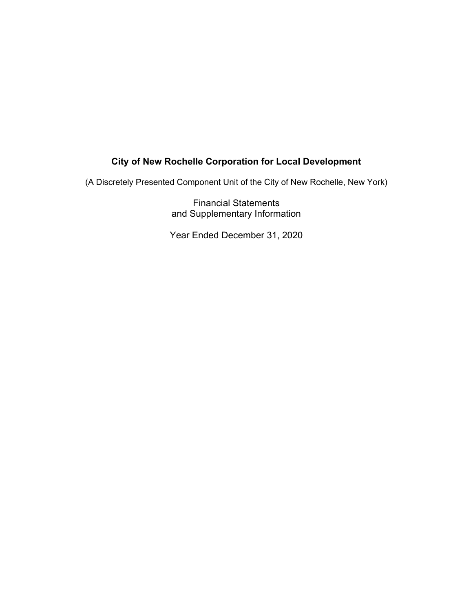(A Discretely Presented Component Unit of the City of New Rochelle, New York)

Financial Statements and Supplementary Information

Year Ended December 31, 2020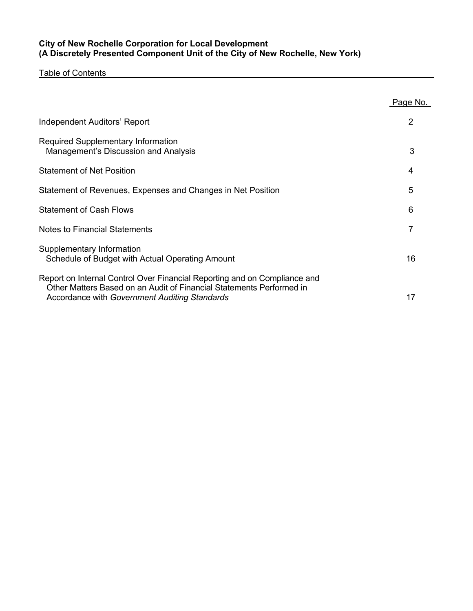## **City of New Rochelle Corporation for Local Development (A Discretely Presented Component Unit of the City of New Rochelle, New York)**

Table of Contents

|                                                                                                                                                                                                    | Page No. |
|----------------------------------------------------------------------------------------------------------------------------------------------------------------------------------------------------|----------|
| Independent Auditors' Report                                                                                                                                                                       | 2        |
| Required Supplementary Information<br>Management's Discussion and Analysis                                                                                                                         | 3        |
| <b>Statement of Net Position</b>                                                                                                                                                                   | 4        |
| Statement of Revenues, Expenses and Changes in Net Position                                                                                                                                        | 5        |
| <b>Statement of Cash Flows</b>                                                                                                                                                                     | 6        |
| Notes to Financial Statements                                                                                                                                                                      | 7        |
| Supplementary Information<br>Schedule of Budget with Actual Operating Amount                                                                                                                       | 16       |
| Report on Internal Control Over Financial Reporting and on Compliance and<br>Other Matters Based on an Audit of Financial Statements Performed in<br>Accordance with Government Auditing Standards | 17       |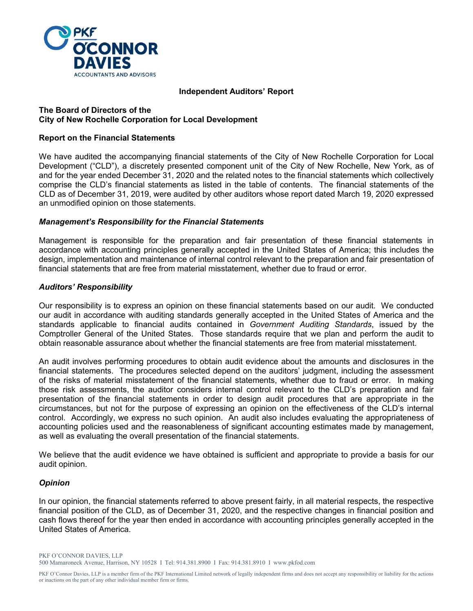

#### **Independent Auditors' Report**

#### **The Board of Directors of the City of New Rochelle Corporation for Local Development**

#### **Report on the Financial Statements**

We have audited the accompanying financial statements of the City of New Rochelle Corporation for Local Development ("CLD"), a discretely presented component unit of the City of New Rochelle, New York, as of and for the year ended December 31, 2020 and the related notes to the financial statements which collectively comprise the CLD's financial statements as listed in the table of contents. The financial statements of the CLD as of December 31, 2019, were audited by other auditors whose report dated March 19, 2020 expressed an unmodified opinion on those statements.

#### *Management's Responsibility for the Financial Statements*

Management is responsible for the preparation and fair presentation of these financial statements in accordance with accounting principles generally accepted in the United States of America; this includes the design, implementation and maintenance of internal control relevant to the preparation and fair presentation of financial statements that are free from material misstatement, whether due to fraud or error.

#### *Auditors' Responsibility*

Our responsibility is to express an opinion on these financial statements based on our audit. We conducted our audit in accordance with auditing standards generally accepted in the United States of America and the standards applicable to financial audits contained in *Government Auditing Standards*, issued by the Comptroller General of the United States. Those standards require that we plan and perform the audit to obtain reasonable assurance about whether the financial statements are free from material misstatement.

An audit involves performing procedures to obtain audit evidence about the amounts and disclosures in the financial statements. The procedures selected depend on the auditors' judgment, including the assessment of the risks of material misstatement of the financial statements, whether due to fraud or error. In making those risk assessments, the auditor considers internal control relevant to the CLD's preparation and fair presentation of the financial statements in order to design audit procedures that are appropriate in the circumstances, but not for the purpose of expressing an opinion on the effectiveness of the CLD's internal control. Accordingly, we express no such opinion. An audit also includes evaluating the appropriateness of accounting policies used and the reasonableness of significant accounting estimates made by management, as well as evaluating the overall presentation of the financial statements.

We believe that the audit evidence we have obtained is sufficient and appropriate to provide a basis for our audit opinion.

#### *Opinion*

In our opinion, the financial statements referred to above present fairly, in all material respects, the respective financial position of the CLD, as of December 31, 2020, and the respective changes in financial position and cash flows thereof for the year then ended in accordance with accounting principles generally accepted in the United States of America.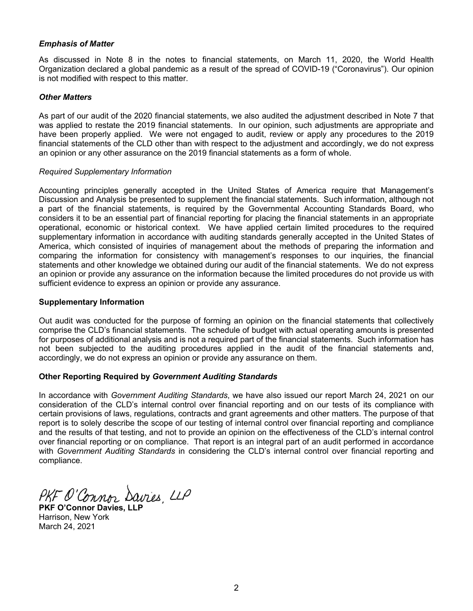#### *Emphasis of Matter*

As discussed in Note 8 in the notes to financial statements, on March 11, 2020, the World Health Organization declared a global pandemic as a result of the spread of COVID-19 ("Coronavirus"). Our opinion is not modified with respect to this matter.

#### *Other Matters*

As part of our audit of the 2020 financial statements, we also audited the adjustment described in Note 7 that was applied to restate the 2019 financial statements. In our opinion, such adjustments are appropriate and have been properly applied. We were not engaged to audit, review or apply any procedures to the 2019 financial statements of the CLD other than with respect to the adjustment and accordingly, we do not express an opinion or any other assurance on the 2019 financial statements as a form of whole.

#### *Required Supplementary Information*

Accounting principles generally accepted in the United States of America require that Management's Discussion and Analysis be presented to supplement the financial statements. Such information, although not a part of the financial statements, is required by the Governmental Accounting Standards Board, who considers it to be an essential part of financial reporting for placing the financial statements in an appropriate operational, economic or historical context. We have applied certain limited procedures to the required supplementary information in accordance with auditing standards generally accepted in the United States of America, which consisted of inquiries of management about the methods of preparing the information and comparing the information for consistency with management's responses to our inquiries, the financial statements and other knowledge we obtained during our audit of the financial statements. We do not express an opinion or provide any assurance on the information because the limited procedures do not provide us with sufficient evidence to express an opinion or provide any assurance.

#### **Supplementary Information**

Out audit was conducted for the purpose of forming an opinion on the financial statements that collectively comprise the CLD's financial statements. The schedule of budget with actual operating amounts is presented for purposes of additional analysis and is not a required part of the financial statements. Such information has not been subjected to the auditing procedures applied in the audit of the financial statements and, accordingly, we do not express an opinion or provide any assurance on them.

#### **Other Reporting Required by** *Government Auditing Standards*

In accordance with *Government Auditing Standards*, we have also issued our report March 24, 2021 on our consideration of the CLD's internal control over financial reporting and on our tests of its compliance with certain provisions of laws, regulations, contracts and grant agreements and other matters. The purpose of that report is to solely describe the scope of our testing of internal control over financial reporting and compliance and the results of that testing, and not to provide an opinion on the effectiveness of the CLD's internal control over financial reporting or on compliance. That report is an integral part of an audit performed in accordance with *Government Auditing Standards* in considering the CLD's internal control over financial reporting and compliance.

**PKF O'Connor Davies, LLP**

Harrison, New York March 24, 2021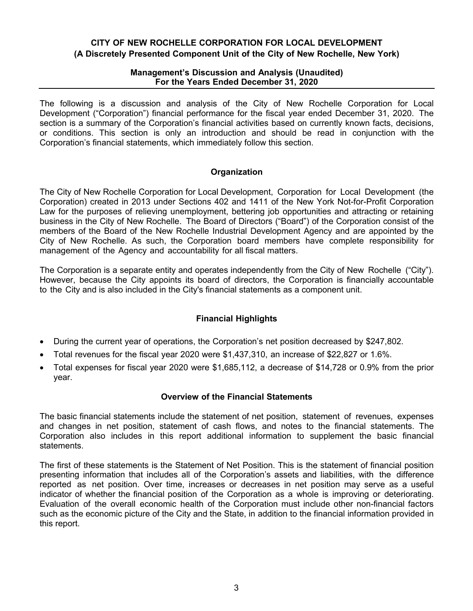## **CITY OF NEW ROCHELLE CORPORATION FOR LOCAL DEVELOPMENT (A Discretely Presented Component Unit of the City of New Rochelle, New York)**

### **Management's Discussion and Analysis (Unaudited) For the Years Ended December 31, 2020**

The following is a discussion and analysis of the City of New Rochelle Corporation for Local Development ("Corporation") financial performance for the fiscal year ended December 31, 2020. The section is a summary of the Corporation's financial activities based on currently known facts, decisions, or conditions. This section is only an introduction and should be read in conjunction with the Corporation's financial statements, which immediately follow this section.

## **Organization**

The City of New Rochelle Corporation for Local Development, Corporation for Local Development (the Corporation) created in 2013 under Sections 402 and 1411 of the New York Not-for-Profit Corporation Law for the purposes of relieving unemployment, bettering job opportunities and attracting or retaining business in the City of New Rochelle. The Board of Directors ("Board") of the Corporation consist of the members of the Board of the New Rochelle Industrial Development Agency and are appointed by the City of New Rochelle. As such, the Corporation board members have complete responsibility for management of the Agency and accountability for all fiscal matters.

The Corporation is a separate entity and operates independently from the City of New Rochelle ("City"). However, because the City appoints its board of directors, the Corporation is financially accountable to the City and is also included in the City's financial statements as a component unit.

## **Financial Highlights**

- During the current year of operations, the Corporation's net position decreased by \$247,802.
- Total revenues for the fiscal year 2020 were \$1,437,310, an increase of \$22,827 or 1.6%.
- Total expenses for fiscal year 2020 were \$1,685,112, a decrease of \$14,728 or 0.9% from the prior year.

## **Overview of the Financial Statements**

The basic financial statements include the statement of net position, statement of revenues, expenses and changes in net position, statement of cash flows, and notes to the financial statements. The Corporation also includes in this report additional information to supplement the basic financial statements.

The first of these statements is the Statement of Net Position. This is the statement of financial position presenting information that includes all of the Corporation's assets and liabilities, with the difference reported as net position. Over time, increases or decreases in net position may serve as a useful indicator of whether the financial position of the Corporation as a whole is improving or deteriorating. Evaluation of the overall economic health of the Corporation must include other non-financial factors such as the economic picture of the City and the State, in addition to the financial information provided in this report.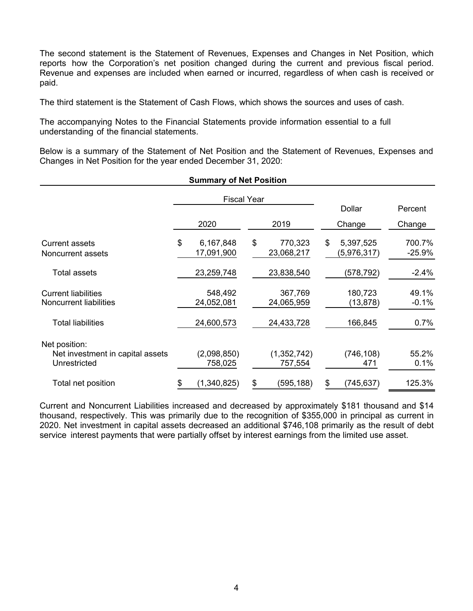The second statement is the Statement of Revenues, Expenses and Changes in Net Position, which reports how the Corporation's net position changed during the current and previous fiscal period. Revenue and expenses are included when earned or incurred, regardless of when cash is received or paid.

The third statement is the Statement of Cash Flows, which shows the sources and uses of cash.

The accompanying Notes to the Financial Statements provide information essential to a full understanding of the financial statements.

Below is a summary of the Statement of Net Position and the Statement of Revenues, Expenses and Changes in Net Position for the year ended December 31, 2020:

|                                                                   |    | <b>Fiscal Year</b>      |                             |                                |                    |
|-------------------------------------------------------------------|----|-------------------------|-----------------------------|--------------------------------|--------------------|
|                                                                   |    |                         |                             | Dollar                         | Percent            |
|                                                                   |    | 2020                    | 2019                        | Change                         | Change             |
| <b>Current assets</b><br>Noncurrent assets                        | \$ | 6,167,848<br>17,091,900 | \$<br>770,323<br>23,068,217 | \$<br>5,397,525<br>(5,976,317) | 700.7%<br>$-25.9%$ |
| <b>Total assets</b>                                               |    | 23,259,748              | 23,838,540                  | (578,792)                      | $-2.4%$            |
| <b>Current liabilities</b><br><b>Noncurrent liabilities</b>       |    | 548,492<br>24,052,081   | 367,769<br>24,065,959       | 180,723<br>(13, 878)           | 49.1%<br>$-0.1%$   |
| <b>Total liabilities</b>                                          |    | 24,600,573              | 24,433,728                  | 166,845                        | 0.7%               |
| Net position:<br>Net investment in capital assets<br>Unrestricted |    | (2,098,850)<br>758,025  | (1,352,742)<br>757,554      | (746, 108)<br>471              | 55.2%<br>0.1%      |
| Total net position                                                | \$ | (1,340,825)             | \$<br>(595, 188)            | \$<br>(745,637)                | 125.3%             |

**Summary of Net Position**

Current and Noncurrent Liabilities increased and decreased by approximately \$181 thousand and \$14 thousand, respectively. This was primarily due to the recognition of \$355,000 in principal as current in 2020. Net investment in capital assets decreased an additional \$746,108 primarily as the result of debt service interest payments that were partially offset by interest earnings from the limited use asset.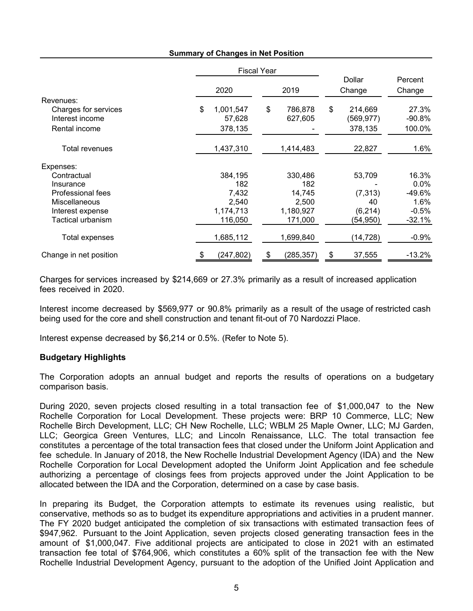|                        | <b>Fiscal Year</b> |    |            |                  |                   |
|------------------------|--------------------|----|------------|------------------|-------------------|
|                        | 2020               |    | 2019       | Dollar<br>Change | Percent<br>Change |
| Revenues:              |                    |    |            |                  |                   |
| Charges for services   | \$<br>1,001,547    | \$ | 786,878    | \$<br>214,669    | 27.3%             |
| Interest income        | 57,628             |    | 627,605    | (569,977)        | $-90.8%$          |
| Rental income          | 378,135            |    |            | 378,135          | 100.0%            |
| Total revenues         | 1,437,310          |    | 1,414,483  | 22,827           | 1.6%              |
| Expenses:              |                    |    |            |                  |                   |
| Contractual            | 384,195            |    | 330,486    | 53,709           | 16.3%             |
| Insurance              | 182                |    | 182        |                  | $0.0\%$           |
| Professional fees      | 7,432              |    | 14,745     | (7, 313)         | -49.6%            |
| Miscellaneous          | 2,540              |    | 2,500      | 40               | 1.6%              |
| Interest expense       | 1,174,713          |    | 1,180,927  | (6, 214)         | $-0.5%$           |
| Tactical urbanism      | 116,050            |    | 171,000    | (54,950)         | $-32.1%$          |
| Total expenses         | 1,685,112          |    | 1,699,840  | (14, 728)        | $-0.9%$           |
| Change in net position | (247, 802)         | £. | (285, 357) | \$<br>37,555     | $-13.2%$          |

#### **Summary of Changes in Net Position**

Charges for services increased by \$214,669 or 27.3% primarily as a result of increased application fees received in 2020.

Interest income decreased by \$569,977 or 90.8% primarily as a result of the usage of restricted cash being used for the core and shell construction and tenant fit-out of 70 Nardozzi Place.

Interest expense decreased by \$6,214 or 0.5%. (Refer to Note 5).

#### **Budgetary Highlights**

The Corporation adopts an annual budget and reports the results of operations on a budgetary comparison basis.

During 2020, seven projects closed resulting in a total transaction fee of \$1,000,047 to the New Rochelle Corporation for Local Development. These projects were: BRP 10 Commerce, LLC; New Rochelle Birch Development, LLC; CH New Rochelle, LLC; WBLM 25 Maple Owner, LLC; MJ Garden, LLC; Georgica Green Ventures, LLC; and Lincoln Renaissance, LLC. The total transaction fee constitutes a percentage of the total transaction fees that closed under the Uniform Joint Application and fee schedule. In January of 2018, the New Rochelle Industrial Development Agency (IDA) and the New Rochelle Corporation for Local Development adopted the Uniform Joint Application and fee schedule authorizing a percentage of closings fees from projects approved under the Joint Application to be allocated between the IDA and the Corporation, determined on a case by case basis.

In preparing its Budget, the Corporation attempts to estimate its revenues using realistic, but conservative, methods so as to budget its expenditure appropriations and activities in a prudent manner. The FY 2020 budget anticipated the completion of six transactions with estimated transaction fees of \$947,962. Pursuant to the Joint Application, seven projects closed generating transaction fees in the amount of \$1,000,047. Five additional projects are anticipated to close in 2021 with an estimated transaction fee total of \$764,906, which constitutes a 60% split of the transaction fee with the New Rochelle Industrial Development Agency, pursuant to the adoption of the Unified Joint Application and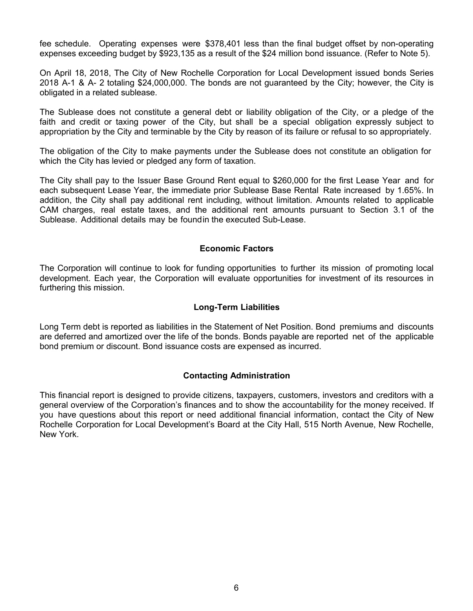fee schedule. Operating expenses were \$378,401 less than the final budget offset by non-operating expenses exceeding budget by \$923,135 as a result of the \$24 million bond issuance. (Refer to Note 5).

On April 18, 2018, The City of New Rochelle Corporation for Local Development issued bonds Series 2018 A-1 & A- 2 totaling \$24,000,000. The bonds are not guaranteed by the City; however, the City is obligated in a related sublease.

The Sublease does not constitute a general debt or liability obligation of the City, or a pledge of the faith and credit or taxing power of the City, but shall be a special obligation expressly subject to appropriation by the City and terminable by the City by reason of its failure or refusal to so appropriately.

The obligation of the City to make payments under the Sublease does not constitute an obligation for which the City has levied or pledged any form of taxation.

The City shall pay to the Issuer Base Ground Rent equal to \$260,000 for the first Lease Year and for each subsequent Lease Year, the immediate prior Sublease Base Rental Rate increased by 1.65%. In addition, the City shall pay additional rent including, without limitation. Amounts related to applicable CAM charges, real estate taxes, and the additional rent amounts pursuant to Section 3.1 of the Sublease. Additional details may be foundin the executed Sub-Lease.

### **Economic Factors**

The Corporation will continue to look for funding opportunities to further its mission of promoting local development. Each year, the Corporation will evaluate opportunities for investment of its resources in furthering this mission.

#### **Long-Term Liabilities**

Long Term debt is reported as liabilities in the Statement of Net Position. Bond premiums and discounts are deferred and amortized over the life of the bonds. Bonds payable are reported net of the applicable bond premium or discount. Bond issuance costs are expensed as incurred.

## **Contacting Administration**

This financial report is designed to provide citizens, taxpayers, customers, investors and creditors with a general overview of the Corporation's finances and to show the accountability for the money received. If you have questions about this report or need additional financial information, contact the City of New Rochelle Corporation for Local Development's Board at the City Hall, 515 North Avenue, New Rochelle, New York.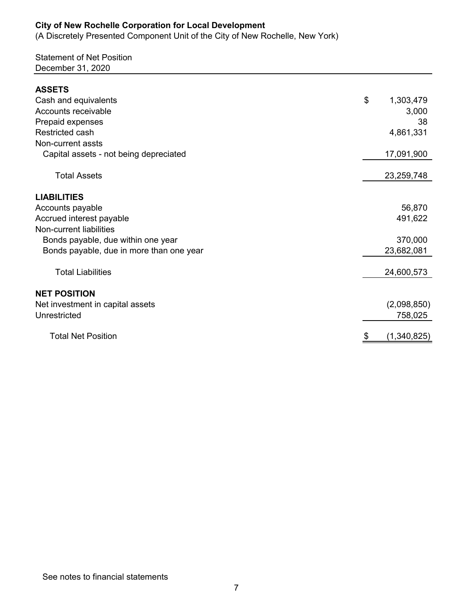(A Discretely Presented Component Unit of the City of New Rochelle, New York)

# Statement of Net Position December 31, 2020

| <b>ASSETS</b>                            |                 |
|------------------------------------------|-----------------|
| Cash and equivalents                     | \$<br>1,303,479 |
| Accounts receivable                      | 3,000           |
| Prepaid expenses                         | 38              |
| Restricted cash                          | 4,861,331       |
| Non-current assts                        |                 |
| Capital assets - not being depreciated   | 17,091,900      |
| <b>Total Assets</b>                      | 23,259,748      |
| <b>LIABILITIES</b>                       |                 |
| Accounts payable                         | 56,870          |
| Accrued interest payable                 | 491,622         |
| Non-current liabilities                  |                 |
| Bonds payable, due within one year       | 370,000         |
| Bonds payable, due in more than one year | 23,682,081      |
| <b>Total Liabilities</b>                 | 24,600,573      |
| <b>NET POSITION</b>                      |                 |
| Net investment in capital assets         | (2,098,850)     |
| Unrestricted                             | 758,025         |
| <b>Total Net Position</b>                | (1,340,825)     |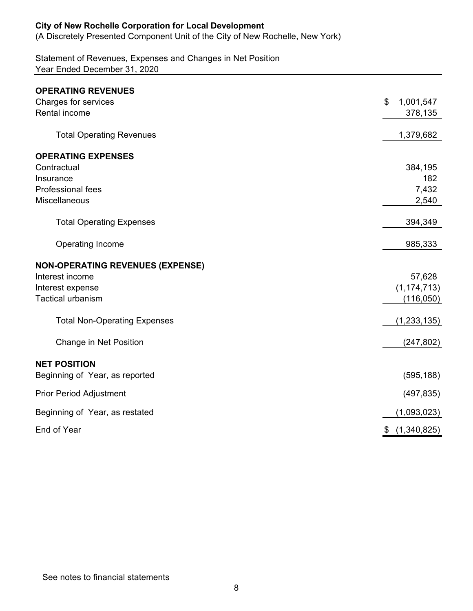(A Discretely Presented Component Unit of the City of New Rochelle, New York)

Statement of Revenues, Expenses and Changes in Net Position Year Ended December 31, 2020

| <b>OPERATING REVENUES</b>               |                   |
|-----------------------------------------|-------------------|
| Charges for services                    | \$<br>1,001,547   |
| <b>Rental income</b>                    | 378,135           |
| <b>Total Operating Revenues</b>         | 1,379,682         |
| <b>OPERATING EXPENSES</b>               |                   |
| Contractual                             | 384,195           |
| Insurance                               | 182               |
| Professional fees                       | 7,432             |
| <b>Miscellaneous</b>                    | 2,540             |
| <b>Total Operating Expenses</b>         | 394,349           |
| Operating Income                        | 985,333           |
| <b>NON-OPERATING REVENUES (EXPENSE)</b> |                   |
| Interest income                         | 57,628            |
| Interest expense                        | (1, 174, 713)     |
| <b>Tactical urbanism</b>                | (116, 050)        |
| <b>Total Non-Operating Expenses</b>     | (1, 233, 135)     |
| Change in Net Position                  | (247, 802)        |
| <b>NET POSITION</b>                     |                   |
| Beginning of Year, as reported          | (595, 188)        |
| <b>Prior Period Adjustment</b>          | (497, 835)        |
| Beginning of Year, as restated          | (1,093,023)       |
| End of Year                             | \$<br>(1,340,825) |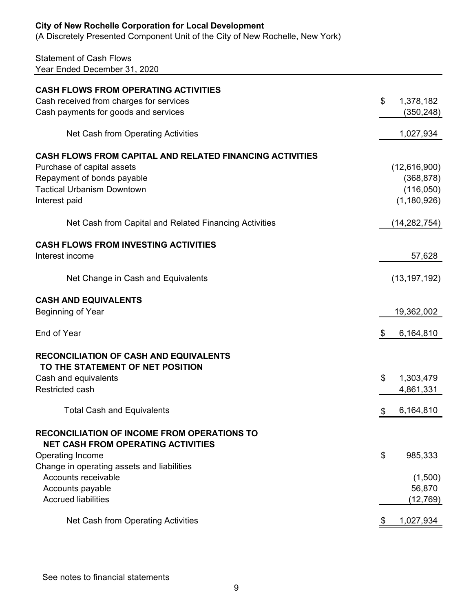(A Discretely Presented Component Unit of the City of New Rochelle, New York)

# Statement of Cash Flows Year Ended December 31, 2020

| <b>CASH FLOWS FROM OPERATING ACTIVITIES</b>                                                     |                 |
|-------------------------------------------------------------------------------------------------|-----------------|
| Cash received from charges for services                                                         | \$<br>1,378,182 |
| Cash payments for goods and services                                                            | (350, 248)      |
| Net Cash from Operating Activities                                                              |                 |
|                                                                                                 | 1,027,934       |
| <b>CASH FLOWS FROM CAPITAL AND RELATED FINANCING ACTIVITIES</b>                                 |                 |
| Purchase of capital assets                                                                      | (12,616,900)    |
| Repayment of bonds payable                                                                      | (368, 878)      |
| <b>Tactical Urbanism Downtown</b>                                                               | (116,050)       |
| Interest paid                                                                                   | (1, 180, 926)   |
| Net Cash from Capital and Related Financing Activities                                          | (14, 282, 754)  |
| <b>CASH FLOWS FROM INVESTING ACTIVITIES</b>                                                     |                 |
| Interest income                                                                                 | 57,628          |
| Net Change in Cash and Equivalents                                                              | (13, 197, 192)  |
|                                                                                                 |                 |
| <b>CASH AND EQUIVALENTS</b>                                                                     |                 |
| Beginning of Year                                                                               | 19,362,002      |
| End of Year                                                                                     | \$<br>6,164,810 |
| <b>RECONCILIATION OF CASH AND EQUIVALENTS</b>                                                   |                 |
| TO THE STATEMENT OF NET POSITION                                                                |                 |
| Cash and equivalents                                                                            | \$<br>1,303,479 |
| <b>Restricted cash</b>                                                                          | 4,861,331       |
| <b>Total Cash and Equivalents</b>                                                               | 6,164,810       |
| <b>RECONCILIATION OF INCOME FROM OPERATIONS TO</b><br><b>NET CASH FROM OPERATING ACTIVITIES</b> |                 |
| Operating Income                                                                                | \$<br>985,333   |
| Change in operating assets and liabilities                                                      |                 |
| Accounts receivable                                                                             | (1,500)         |
| Accounts payable                                                                                | 56,870          |
| <b>Accrued liabilities</b>                                                                      | (12,769)        |
| Net Cash from Operating Activities                                                              | \$<br>1,027,934 |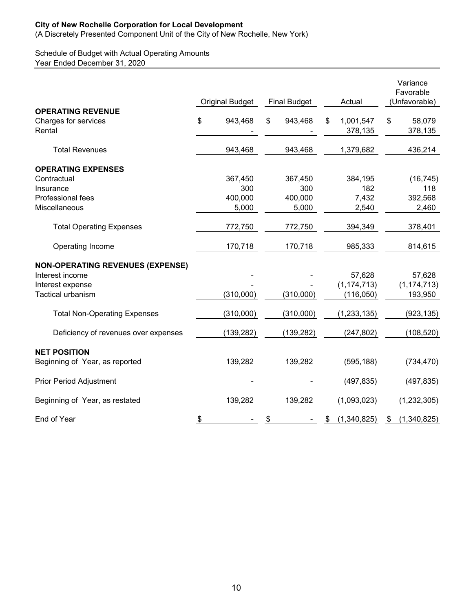(A Discretely Presented Component Unit of the City of New Rochelle, New York)

## Schedule of Budget with Actual Operating Amounts Year Ended December 31, 2020

|                                                            | <b>Original Budget</b> | <b>Final Budget</b> | Actual                     |    | Variance<br>Favorable<br>(Unfavorable) |
|------------------------------------------------------------|------------------------|---------------------|----------------------------|----|----------------------------------------|
| <b>OPERATING REVENUE</b><br>Charges for services<br>Rental | \$<br>943,468          | \$<br>943,468       | \$<br>1,001,547<br>378,135 | \$ | 58,079<br>378,135                      |
| <b>Total Revenues</b>                                      | 943,468                | 943,468             | 1,379,682                  |    | 436,214                                |
| <b>OPERATING EXPENSES</b>                                  |                        |                     |                            |    |                                        |
| Contractual                                                | 367,450                | 367,450             | 384,195                    |    | (16, 745)                              |
| Insurance                                                  | 300                    | 300                 | 182                        |    | 118                                    |
| Professional fees                                          | 400,000                | 400,000             | 7,432                      |    | 392,568                                |
| Miscellaneous                                              | 5,000                  | 5,000               | 2,540                      |    | 2,460                                  |
| <b>Total Operating Expenses</b>                            | 772,750                | 772,750             | 394,349                    |    | 378,401                                |
| Operating Income                                           | 170,718                | 170,718             | 985,333                    |    | 814,615                                |
| <b>NON-OPERATING REVENUES (EXPENSE)</b>                    |                        |                     |                            |    |                                        |
| Interest income                                            |                        |                     | 57,628                     |    | 57,628                                 |
| Interest expense                                           |                        |                     | (1, 174, 713)              |    | (1, 174, 713)                          |
| <b>Tactical urbanism</b>                                   | (310,000)              | (310,000)           | (116, 050)                 |    | 193,950                                |
| <b>Total Non-Operating Expenses</b>                        | (310,000)              | (310,000)           | (1, 233, 135)              |    | (923, 135)                             |
| Deficiency of revenues over expenses                       | (139, 282)             | (139, 282)          | (247, 802)                 |    | (108, 520)                             |
| <b>NET POSITION</b>                                        |                        |                     |                            |    |                                        |
| Beginning of Year, as reported                             | 139,282                | 139,282             | (595, 188)                 |    | (734, 470)                             |
| <b>Prior Period Adjustment</b>                             |                        |                     | (497, 835)                 |    | (497, 835)                             |
| Beginning of Year, as restated                             | 139,282                | 139,282             | (1,093,023)                |    | (1, 232, 305)                          |
| End of Year                                                | \$                     | \$                  | \$<br>(1,340,825)          | S  | (1,340,825)                            |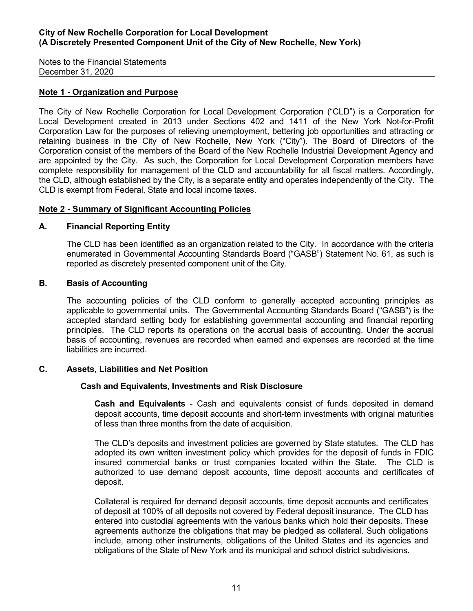Notes to the Financial Statements December 31, 2020

## **Note 1 - Organization and Purpose**

The City of New Rochelle Corporation for Local Development Corporation ("CLD") is a Corporation for Local Development created in 2013 under Sections 402 and 1411 of the New York Not-for-Profit Corporation Law for the purposes of relieving unemployment, bettering job opportunities and attracting or retaining business in the City of New Rochelle, New York ("City"). The Board of Directors of the Corporation consist of the members of the Board of the New Rochelle Industrial Development Agency and are appointed by the City. As such, the Corporation for Local Development Corporation members have complete responsibility for management of the CLD and accountability for all fiscal matters. Accordingly, the CLD, although established by the City, is a separate entity and operates independently of the City. The CLD is exempt from Federal, State and local income taxes.

## **Note 2 - Summary of Significant Accounting Policies**

## **A. Financial Reporting Entity**

The CLD has been identified as an organization related to the City. In accordance with the criteria enumerated in Governmental Accounting Standards Board ("GASB") Statement No. 61, as such is reported as discretely presented component unit of the City.

## **B. Basis of Accounting**

The accounting policies of the CLD conform to generally accepted accounting principles as applicable to governmental units. The Governmental Accounting Standards Board ("GASB") is the accepted standard setting body for establishing governmental accounting and financial reporting principles. The CLD reports its operations on the accrual basis of accounting. Under the accrual basis of accounting, revenues are recorded when earned and expenses are recorded at the time liabilities are incurred.

## **C. Assets, Liabilities and Net Position**

## **Cash and Equivalents, Investments and Risk Disclosure**

**Cash and Equivalents** - Cash and equivalents consist of funds deposited in demand deposit accounts, time deposit accounts and short-term investments with original maturities of less than three months from the date of acquisition.

The CLD's deposits and investment policies are governed by State statutes. The CLD has adopted its own written investment policy which provides for the deposit of funds in FDIC insured commercial banks or trust companies located within the State. The CLD is authorized to use demand deposit accounts, time deposit accounts and certificates of deposit.

Collateral is required for demand deposit accounts, time deposit accounts and certificates of deposit at 100% of all deposits not covered by Federal deposit insurance. The CLD has entered into custodial agreements with the various banks which hold their deposits. These agreements authorize the obligations that may be pledged as collateral. Such obligations include, among other instruments, obligations of the United States and its agencies and obligations of the State of New York and its municipal and school district subdivisions.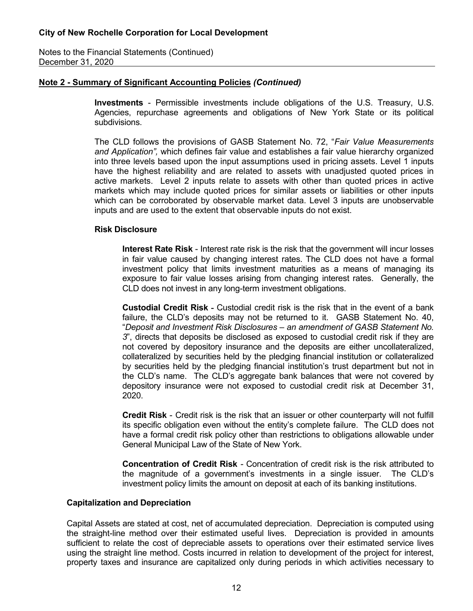Notes to the Financial Statements (Continued) December 31, 2020

### **Note 2 - Summary of Significant Accounting Policies** *(Continued)*

**Investments** - Permissible investments include obligations of the U.S. Treasury, U.S. Agencies, repurchase agreements and obligations of New York State or its political subdivisions.

The CLD follows the provisions of GASB Statement No. 72, "*Fair Value Measurements and Application",* which defines fair value and establishes a fair value hierarchy organized into three levels based upon the input assumptions used in pricing assets. Level 1 inputs have the highest reliability and are related to assets with unadjusted quoted prices in active markets. Level 2 inputs relate to assets with other than quoted prices in active markets which may include quoted prices for similar assets or liabilities or other inputs which can be corroborated by observable market data. Level 3 inputs are unobservable inputs and are used to the extent that observable inputs do not exist.

#### **Risk Disclosure**

**Interest Rate Risk** - Interest rate risk is the risk that the government will incur losses in fair value caused by changing interest rates. The CLD does not have a formal investment policy that limits investment maturities as a means of managing its exposure to fair value losses arising from changing interest rates. Generally, the CLD does not invest in any long-term investment obligations.

**Custodial Credit Risk -** Custodial credit risk is the risk that in the event of a bank failure, the CLD's deposits may not be returned to it. GASB Statement No. 40, "*Deposit and Investment Risk Disclosures – an amendment of GASB Statement No. 3*", directs that deposits be disclosed as exposed to custodial credit risk if they are not covered by depository insurance and the deposits are either uncollateralized, collateralized by securities held by the pledging financial institution or collateralized by securities held by the pledging financial institution's trust department but not in the CLD's name. The CLD's aggregate bank balances that were not covered by depository insurance were not exposed to custodial credit risk at December 31, 2020.

**Credit Risk** - Credit risk is the risk that an issuer or other counterparty will not fulfill its specific obligation even without the entity's complete failure. The CLD does not have a formal credit risk policy other than restrictions to obligations allowable under General Municipal Law of the State of New York.

**Concentration of Credit Risk** *-* Concentration of credit risk is the risk attributed to the magnitude of a government's investments in a single issuer. The CLD's investment policy limits the amount on deposit at each of its banking institutions.

#### **Capitalization and Depreciation**

Capital Assets are stated at cost, net of accumulated depreciation. Depreciation is computed using the straight-line method over their estimated useful lives. Depreciation is provided in amounts sufficient to relate the cost of depreciable assets to operations over their estimated service lives using the straight line method. Costs incurred in relation to development of the project for interest, property taxes and insurance are capitalized only during periods in which activities necessary to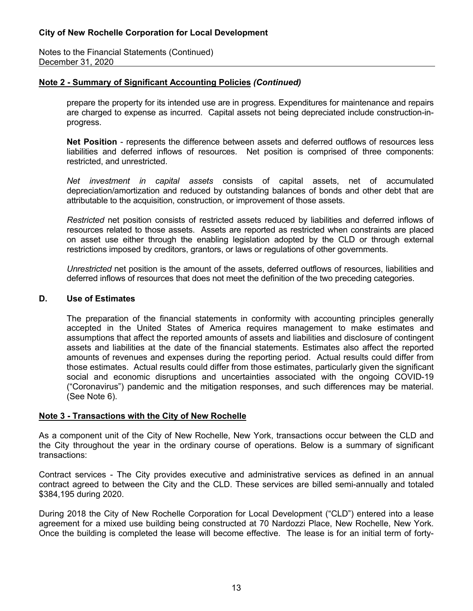Notes to the Financial Statements (Continued) December 31, 2020

## **Note 2 - Summary of Significant Accounting Policies** *(Continued)*

prepare the property for its intended use are in progress. Expenditures for maintenance and repairs are charged to expense as incurred. Capital assets not being depreciated include construction-inprogress.

**Net Position** - represents the difference between assets and deferred outflows of resources less liabilities and deferred inflows of resources. Net position is comprised of three components: restricted, and unrestricted.

*Net investment in capital assets* consists of capital assets, net of accumulated depreciation/amortization and reduced by outstanding balances of bonds and other debt that are attributable to the acquisition, construction, or improvement of those assets.

*Restricted* net position consists of restricted assets reduced by liabilities and deferred inflows of resources related to those assets. Assets are reported as restricted when constraints are placed on asset use either through the enabling legislation adopted by the CLD or through external restrictions imposed by creditors, grantors, or laws or regulations of other governments.

*Unrestricted* net position is the amount of the assets, deferred outflows of resources, liabilities and deferred inflows of resources that does not meet the definition of the two preceding categories.

#### **D. Use of Estimates**

The preparation of the financial statements in conformity with accounting principles generally accepted in the United States of America requires management to make estimates and assumptions that affect the reported amounts of assets and liabilities and disclosure of contingent assets and liabilities at the date of the financial statements. Estimates also affect the reported amounts of revenues and expenses during the reporting period. Actual results could differ from those estimates. Actual results could differ from those estimates, particularly given the significant social and economic disruptions and uncertainties associated with the ongoing COVID-19 ("Coronavirus") pandemic and the mitigation responses, and such differences may be material. (See Note 6).

#### **Note 3 - Transactions with the City of New Rochelle**

As a component unit of the City of New Rochelle, New York, transactions occur between the CLD and the City throughout the year in the ordinary course of operations. Below is a summary of significant transactions:

Contract services - The City provides executive and administrative services as defined in an annual contract agreed to between the City and the CLD. These services are billed semi-annually and totaled \$384,195 during 2020.

During 2018 the City of New Rochelle Corporation for Local Development ("CLD") entered into a lease agreement for a mixed use building being constructed at 70 Nardozzi Place, New Rochelle, New York. Once the building is completed the lease will become effective. The lease is for an initial term of forty-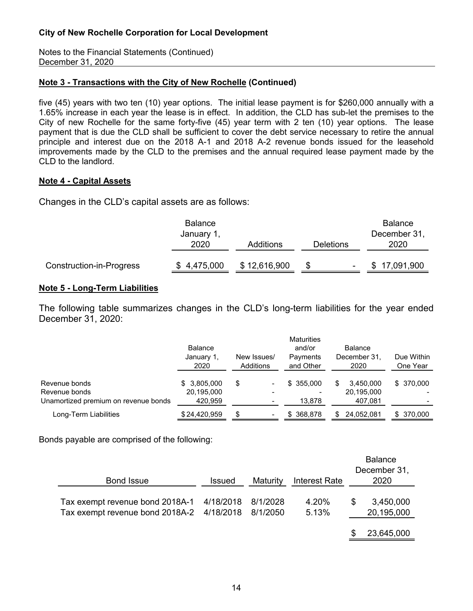Notes to the Financial Statements (Continued) December 31, 2020

## **Note 3 - Transactions with the City of New Rochelle (Continued)**

five (45) years with two ten (10) year options. The initial lease payment is for \$260,000 annually with a 1.65% increase in each year the lease is in effect. In addition, the CLD has sub-let the premises to the City of new Rochelle for the same forty-five (45) year term with 2 ten (10) year options. The lease payment that is due the CLD shall be sufficient to cover the debt service necessary to retire the annual principle and interest due on the 2018 A-1 and 2018 A-2 revenue bonds issued for the leasehold improvements made by the CLD to the premises and the annual required lease payment made by the CLD to the landlord.

### **Note 4 - Capital Assets**

Changes in the CLD's capital assets are as follows:

|                          | <b>Balance</b><br>January 1, |              |           | <b>Balance</b><br>December 31, |
|--------------------------|------------------------------|--------------|-----------|--------------------------------|
|                          | 2020                         | Additions    | Deletions | 2020                           |
| Construction-in-Progress | \$4,475,000                  | \$12,616,900 | ۰.        | 17,091,900                     |

### **Note 5 - Long-Term Liabilities**

The following table summarizes changes in the CLD's long-term liabilities for the year ended December 31, 2020:

|                                      | <b>Balance</b><br>January 1,<br>2020 | New Issues/<br>Additions        | <b>Maturities</b><br>and/or<br>Payments<br>and Other | <b>Balance</b><br>December 31,<br>2020 | Due Within<br>One Year |
|--------------------------------------|--------------------------------------|---------------------------------|------------------------------------------------------|----------------------------------------|------------------------|
| Revenue bonds                        | \$3,805,000                          | \$<br>$\qquad \qquad$           | \$355.000                                            | 3.450.000<br>S                         | \$ 370,000             |
| Revenue bonds                        | 20,195,000                           | $\qquad \qquad$                 |                                                      | 20,195,000                             |                        |
| Unamortized premium on revenue bonds | 420,959                              | $\blacksquare$                  | 13,878                                               | 407,081                                |                        |
| Long-Term Liabilities                | \$24,420,959                         | \$.<br>$\overline{\phantom{a}}$ | 368.878<br>S.                                        | 24,052,081<br>\$.                      | \$ 370,000             |

Bonds payable are comprised of the following:

| <b>Bond Issue</b>                                                  | <b>Issued</b>          | Maturity             | <b>Interest Rate</b> |   | <b>Balance</b><br>December 31,<br>2020 |
|--------------------------------------------------------------------|------------------------|----------------------|----------------------|---|----------------------------------------|
| Tax exempt revenue bond 2018A-1<br>Tax exempt revenue bond 2018A-2 | 4/18/2018<br>4/18/2018 | 8/1/2028<br>8/1/2050 | 4.20%<br>5.13%       | S | 3,450,000<br>20,195,000                |
|                                                                    |                        |                      |                      |   | 23,645,000                             |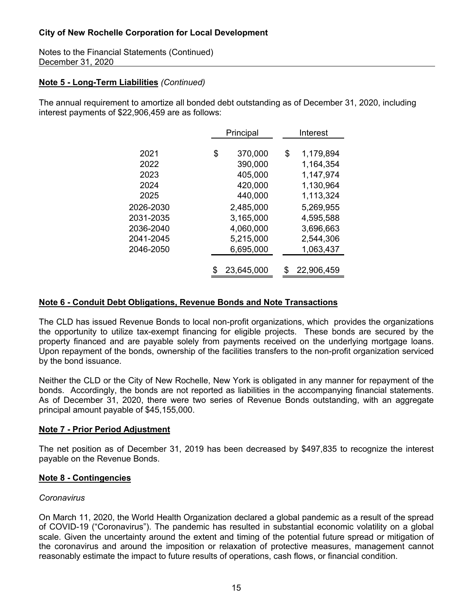Notes to the Financial Statements (Continued) December 31, 2020

## **Note 5 - Long-Term Liabilities** *(Continued)*

The annual requirement to amortize all bonded debt outstanding as of December 31, 2020, including interest payments of \$22,906,459 are as follows:

|           | Principal |            |    | Interest   |
|-----------|-----------|------------|----|------------|
|           |           |            |    |            |
| 2021      | \$        | 370,000    | \$ | 1,179,894  |
| 2022      |           | 390,000    |    | 1,164,354  |
| 2023      |           | 405,000    |    | 1,147,974  |
| 2024      |           | 420,000    |    | 1,130,964  |
| 2025      |           | 440,000    |    | 1,113,324  |
| 2026-2030 |           | 2,485,000  |    | 5,269,955  |
| 2031-2035 |           | 3,165,000  |    | 4,595,588  |
| 2036-2040 |           | 4,060,000  |    | 3,696,663  |
| 2041-2045 |           | 5,215,000  |    | 2,544,306  |
| 2046-2050 |           | 6,695,000  |    | 1,063,437  |
|           |           |            |    |            |
|           |           | 23,645,000 | S  | 22,906,459 |

## **Note 6 - Conduit Debt Obligations, Revenue Bonds and Note Transactions**

The CLD has issued Revenue Bonds to local non-profit organizations, which provides the organizations the opportunity to utilize tax-exempt financing for eligible projects. These bonds are secured by the property financed and are payable solely from payments received on the underlying mortgage loans. Upon repayment of the bonds, ownership of the facilities transfers to the non-profit organization serviced by the bond issuance.

Neither the CLD or the City of New Rochelle, New York is obligated in any manner for repayment of the bonds. Accordingly, the bonds are not reported as liabilities in the accompanying financial statements. As of December 31, 2020, there were two series of Revenue Bonds outstanding, with an aggregate principal amount payable of \$45,155,000.

## **Note 7 - Prior Period Adjustment**

The net position as of December 31, 2019 has been decreased by \$497,835 to recognize the interest payable on the Revenue Bonds.

#### **Note 8 - Contingencies**

#### *Coronavirus*

On March 11, 2020, the World Health Organization declared a global pandemic as a result of the spread of COVID-19 ("Coronavirus"). The pandemic has resulted in substantial economic volatility on a global scale. Given the uncertainty around the extent and timing of the potential future spread or mitigation of the coronavirus and around the imposition or relaxation of protective measures, management cannot reasonably estimate the impact to future results of operations, cash flows, or financial condition.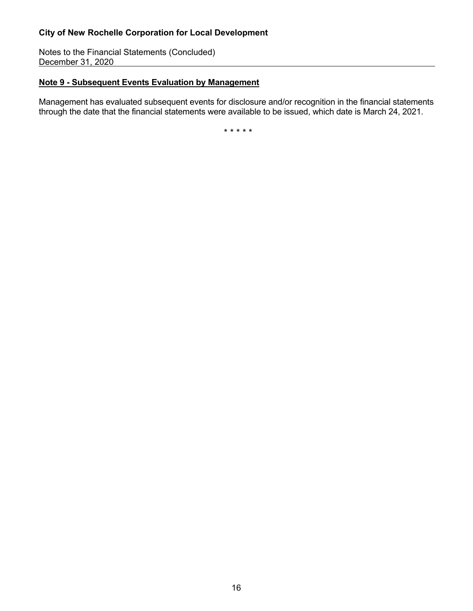Notes to the Financial Statements (Concluded) December 31, 2020

# **Note 9 - Subsequent Events Evaluation by Management**

Management has evaluated subsequent events for disclosure and/or recognition in the financial statements through the date that the financial statements were available to be issued, which date is March 24, 2021.

\* \* \* \* \*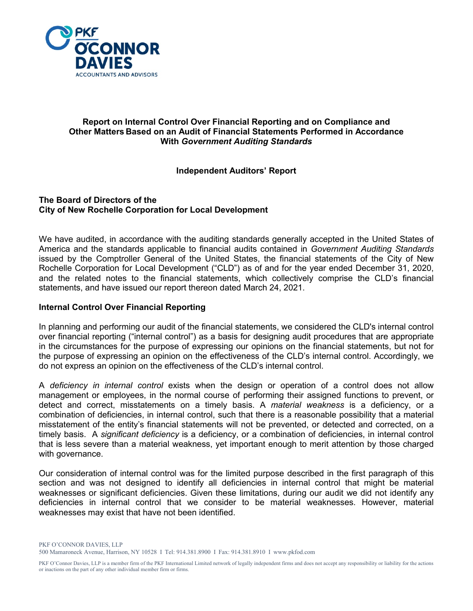

## **Report on Internal Control Over Financial Reporting and on Compliance and Other Matters Based on an Audit of Financial Statements Performed in Accordance With** *Government Auditing Standards*

## **Independent Auditors' Report**

#### **The Board of Directors of the City of New Rochelle Corporation for Local Development**

We have audited, in accordance with the auditing standards generally accepted in the United States of America and the standards applicable to financial audits contained in *Government Auditing Standards*  issued by the Comptroller General of the United States, the financial statements of the City of New Rochelle Corporation for Local Development ("CLD") as of and for the year ended December 31, 2020, and the related notes to the financial statements, which collectively comprise the CLD's financial statements, and have issued our report thereon dated March 24, 2021.

## **Internal Control Over Financial Reporting**

In planning and performing our audit of the financial statements, we considered the CLD's internal control over financial reporting ("internal control") as a basis for designing audit procedures that are appropriate in the circumstances for the purpose of expressing our opinions on the financial statements, but not for the purpose of expressing an opinion on the effectiveness of the CLD's internal control. Accordingly, we do not express an opinion on the effectiveness of the CLD's internal control.

A *deficiency in internal control* exists when the design or operation of a control does not allow management or employees, in the normal course of performing their assigned functions to prevent, or detect and correct, misstatements on a timely basis. A *material weakness* is a deficiency, or a combination of deficiencies, in internal control, such that there is a reasonable possibility that a material misstatement of the entity's financial statements will not be prevented, or detected and corrected, on a timely basis. A *significant deficiency* is a deficiency, or a combination of deficiencies, in internal control that is less severe than a material weakness, yet important enough to merit attention by those charged with governance.

Our consideration of internal control was for the limited purpose described in the first paragraph of this section and was not designed to identify all deficiencies in internal control that might be material weaknesses or significant deficiencies. Given these limitations, during our audit we did not identify any deficiencies in internal control that we consider to be material weaknesses. However, material weaknesses may exist that have not been identified.

PKF O'CONNOR DAVIES, LLP 500 Mamaroneck Avenue, Harrison, NY 10528 I Tel: 914.381.8900 I Fax: 914.381.8910 I www.pkfod.com

PKF O'Connor Davies, LLP is a member firm of the PKF International Limited network of legally independent firms and does not accept any responsibility or liability for the actions or inactions on the part of any other individual member firm or firms.